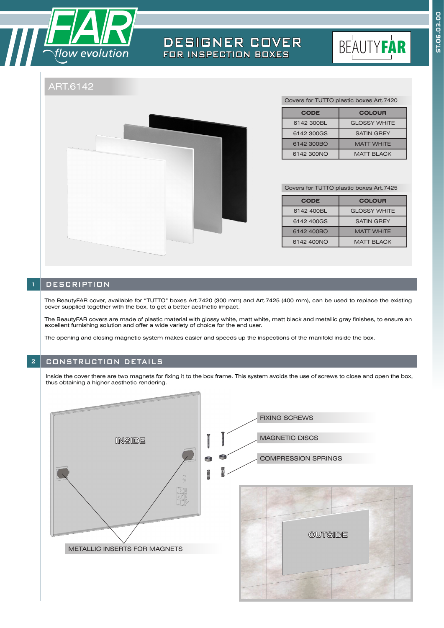

# DESIGNER COVER FOR INSPECTION BOXES



# ART.6142



| Covers for TUTTO plastic boxes Art.7420 |  |  |
|-----------------------------------------|--|--|
|-----------------------------------------|--|--|

| <b>CODE</b> | <b>COLOUR</b>       |
|-------------|---------------------|
| 6142 300BL  | <b>GLOSSY WHITE</b> |
| 6142 300GS  | <b>SATIN GREY</b>   |
| 6142 300BO  | <b>MATT WHITE</b>   |
| 6142 300NO  | <b>MATT BI ACK</b>  |

Covers for TUTTO plastic boxes Art.7425

| <b>CODE</b> | <b>COLOUR</b>       |
|-------------|---------------------|
| 6142 400BL  | <b>GLOSSY WHITE</b> |
| 6142 400GS  | <b>SATIN GREY</b>   |
| 6142 400BO  | <b>MATT WHITE</b>   |
| 6142 400NO  | <b>MATT BLACK</b>   |

### **DESCRIPTION**

The BeautyFAR cover, available for "TUTTO" boxes Art.7420 (300 mm) and Art.7425 (400 mm), can be used to replace the existing cover supplied together with the box, to get a better aesthetic impact.

The BeautyFAR covers are made of plastic material with glossy white, matt white, matt black and metallic gray finishes, to ensure an excellent furnishing solution and offer a wide variety of choice for the end user.

The opening and closing magnetic system makes easier and speeds up the inspections of the manifold inside the box.

## 2 CONSTRUCTION DETAILS

Inside the cover there are two magnets for fixing it to the box frame. This system avoids the use of screws to close and open the box, thus obtaining a higher aesthetic rendering.